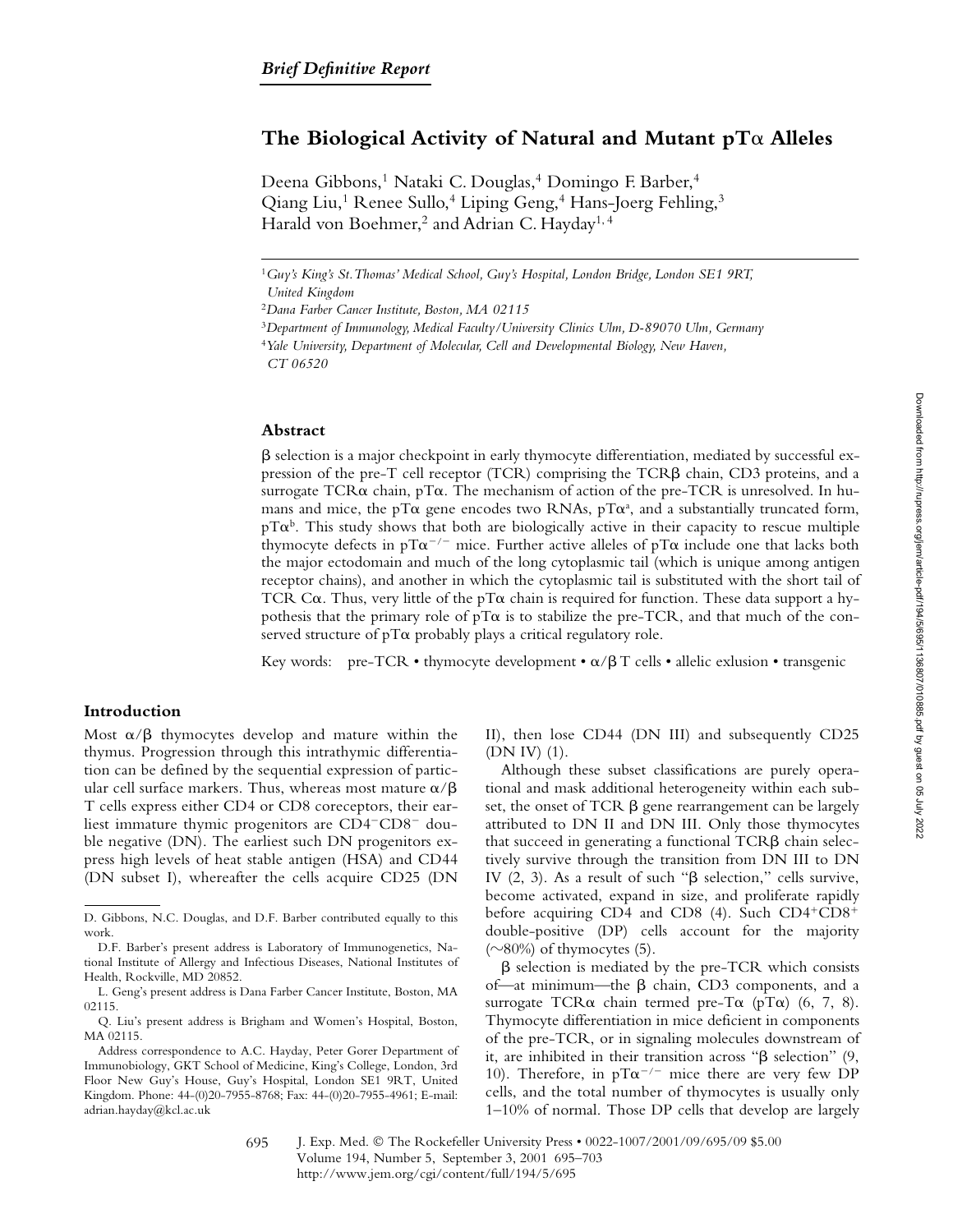# The Biological Activity of Natural and Mutant pT $\alpha$  Alleles

Deena Gibbons,<sup>1</sup> Nataki C. Douglas,<sup>4</sup> Domingo F. Barber,<sup>4</sup> Qiang Liu,<sup>1</sup> Renee Sullo,<sup>4</sup> Liping Geng,<sup>4</sup> Hans-Joerg Fehling,<sup>3</sup> Harald von Boehmer,<sup>2</sup> and Adrian C. Hayday<sup>1,4</sup>

<sup>4</sup>*Yale University, Department of Molecular, Cell and Developmental Biology, New Haven,*

*CT 06520*

## **Abstract**

 $\beta$  selection is a major checkpoint in early thymocyte differentiation, mediated by successful expression of the pre-T cell receptor (TCR) comprising the TCR $\beta$  chain, CD3 proteins, and a surrogate TCR $\alpha$  chain, pT $\alpha$ . The mechanism of action of the pre-TCR is unresolved. In humans and mice, the pT $\alpha$  gene encodes two RNAs, pT $\alpha^a$ , and a substantially truncated form,  $pT\alpha^b$ . This study shows that both are biologically active in their capacity to rescue multiple thymocyte defects in pT $\alpha^{-/-}$  mice. Further active alleles of pT $\alpha$  include one that lacks both the major ectodomain and much of the long cytoplasmic tail (which is unique among antigen receptor chains), and another in which the cytoplasmic tail is substituted with the short tail of TCR C $\alpha$ . Thus, very little of the pT $\alpha$  chain is required for function. These data support a hypothesis that the primary role of  $pT\alpha$  is to stabilize the pre-TCR, and that much of the conserved structure of  $pT\alpha$  probably plays a critical regulatory role.

Key words: pre-TCR • thymocyte development •  $\alpha/\beta$  T cells • allelic exlusion • transgenic

## **Introduction**

Most  $\alpha/\beta$  thymocytes develop and mature within the thymus. Progression through this intrathymic differentiation can be defined by the sequential expression of particular cell surface markers. Thus, whereas most mature  $\alpha/\beta$ T cells express either CD4 or CD8 coreceptors, their earliest immature thymic progenitors are CD4<sup>-</sup>CD8<sup>-</sup> double negative (DN). The earliest such DN progenitors express high levels of heat stable antigen (HSA) and CD44 (DN subset I), whereafter the cells acquire CD25 (DN

II), then lose CD44 (DN III) and subsequently CD25 (DN IV) (1).

Although these subset classifications are purely operational and mask additional heterogeneity within each subset, the onset of TCR  $\beta$  gene rearrangement can be largely attributed to DN II and DN III. Only those thymocytes that succeed in generating a functional  $TCR\beta$  chain selectively survive through the transition from DN III to DN IV  $(2, 3)$ . As a result of such " $\beta$  selection," cells survive, become activated, expand in size, and proliferate rapidly before acquiring CD4 and CD8 (4). Such  $CD4+CD8+$ double-positive (DP) cells account for the majority  $(\sim 80\%)$  of thymocytes (5).

 $\beta$  selection is mediated by the pre-TCR which consists of—at minimum—the  $\beta$  chain, CD3 components, and a surrogate TCR $\alpha$  chain termed pre-T $\alpha$  (pT $\alpha$ ) (6, 7, 8). Thymocyte differentiation in mice deficient in components of the pre-TCR, or in signaling molecules downstream of it, are inhibited in their transition across " $\beta$  selection" (9, 10). Therefore, in  $pT\alpha^{-/-}$  mice there are very few DP cells, and the total number of thymocytes is usually only 1–10% of normal. Those DP cells that develop are largely

J. Exp. Med. © The Rockefeller University Press • 0022-1007/2001/09/695/09 \$5.00 Volume 194, Number 5, September 3, 2001 695–703 http://www.jem.org/cgi/content/full/194/5/695 695

<sup>1</sup>*Guy's King's St. Thomas' Medical School, Guy's Hospital, London Bridge, London SE1 9RT, United Kingdom*

<sup>2</sup>*Dana Farber Cancer Institute, Boston, MA 02115*

<sup>3</sup>*Department of Immunology, Medical Faculty/University Clinics Ulm, D-89070 Ulm, Germany*

D. Gibbons, N.C. Douglas, and D.F. Barber contributed equally to this work.

D.F. Barber's present address is Laboratory of Immunogenetics, National Institute of Allergy and Infectious Diseases, National Institutes of Health, Rockville, MD 20852.

L. Geng's present address is Dana Farber Cancer Institute, Boston, MA 02115.

Q. Liu's present address is Brigham and Women's Hospital, Boston, MA 02115.

Address correspondence to A.C. Hayday, Peter Gorer Department of Immunobiology, GKT School of Medicine, King's College, London, 3rd Floor New Guy's House, Guy's Hospital, London SE1 9RT, United Kingdom. Phone: 44-(0)20-7955-8768; Fax: 44-(0)20-7955-4961; E-mail: adrian.hayday@kcl.ac.uk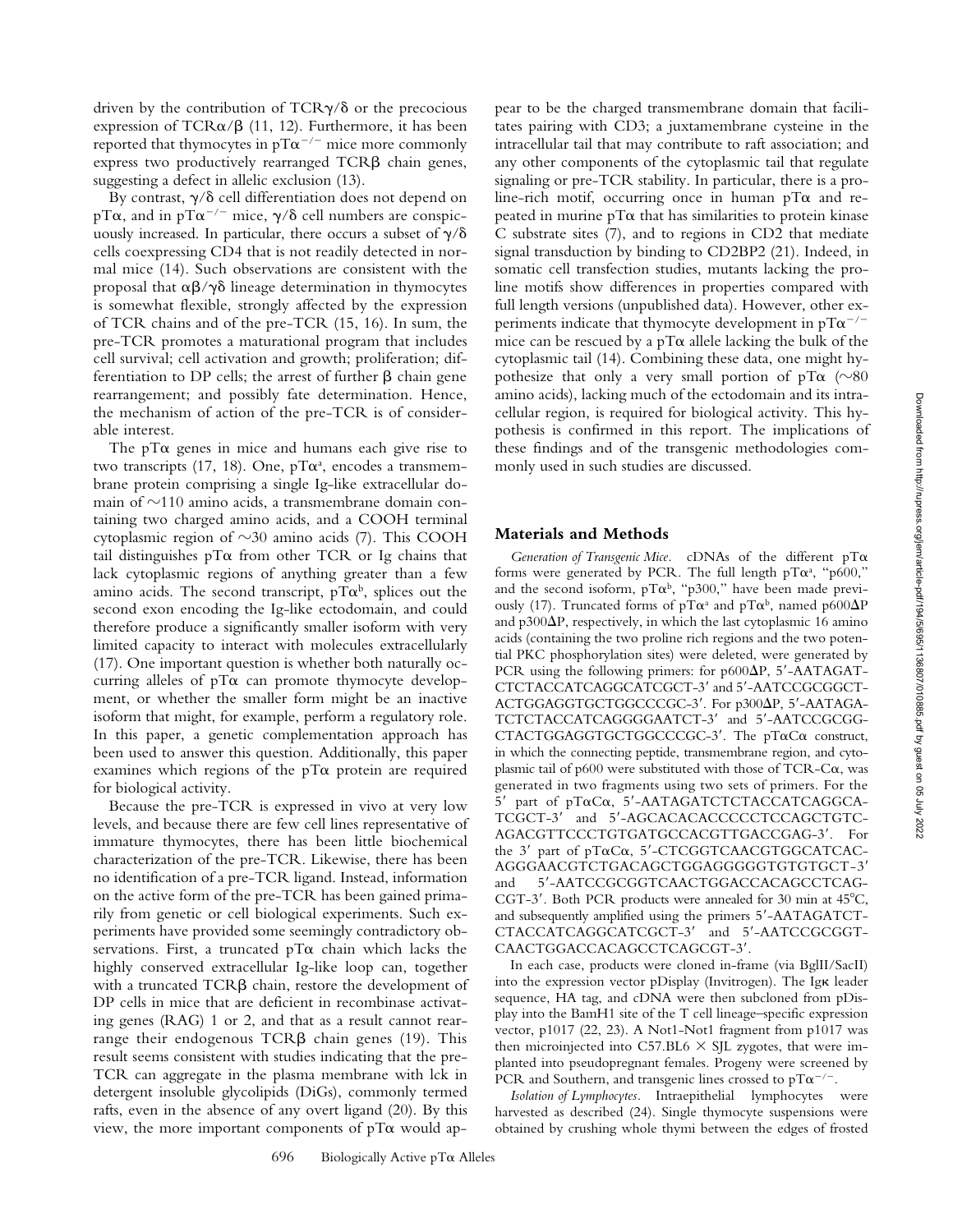driven by the contribution of  $TCR\gamma/\delta$  or the precocious expression of  $TCR\alpha/\beta$  (11, 12). Furthermore, it has been reported that thymocytes in pT $\alpha^{-/-}$  mice more commonly express two productively rearranged  $TCR\beta$  chain genes, suggesting a defect in allelic exclusion (13).

By contrast,  $\gamma/\delta$  cell differentiation does not depend on pT $\alpha$ , and in pT $\alpha^{-/-}$  mice,  $\gamma/\delta$  cell numbers are conspicuously increased. In particular, there occurs a subset of  $\gamma/\delta$ cells coexpressing CD4 that is not readily detected in normal mice (14). Such observations are consistent with the proposal that  $\alpha\beta/\gamma\delta$  lineage determination in thymocytes is somewhat flexible, strongly affected by the expression of TCR chains and of the pre-TCR (15, 16). In sum, the pre-TCR promotes a maturational program that includes cell survival; cell activation and growth; proliferation; differentiation to DP cells; the arrest of further  $\beta$  chain gene rearrangement; and possibly fate determination. Hence, the mechanism of action of the pre-TCR is of considerable interest.

The  $pT\alpha$  genes in mice and humans each give rise to two transcripts (17, 18). One,  $pT\alpha^a$ , encodes a transmembrane protein comprising a single Ig-like extracellular domain of  $\sim$ 110 amino acids, a transmembrane domain containing two charged amino acids, and a COOH terminal cytoplasmic region of  $\sim$ 30 amino acids (7). This COOH tail distinguishes  $pT\alpha$  from other TCR or Ig chains that lack cytoplasmic regions of anything greater than a few amino acids. The second transcript, pT $\alpha^{\rm b}$ , splices out the second exon encoding the Ig-like ectodomain, and could therefore produce a significantly smaller isoform with very limited capacity to interact with molecules extracellularly (17). One important question is whether both naturally occurring alleles of  $pT\alpha$  can promote thymocyte development, or whether the smaller form might be an inactive isoform that might, for example, perform a regulatory role. In this paper, a genetic complementation approach has been used to answer this question. Additionally, this paper examines which regions of the  $pT\alpha$  protein are required for biological activity.

Because the pre-TCR is expressed in vivo at very low levels, and because there are few cell lines representative of immature thymocytes, there has been little biochemical characterization of the pre-TCR. Likewise, there has been no identification of a pre-TCR ligand. Instead, information on the active form of the pre-TCR has been gained primarily from genetic or cell biological experiments. Such experiments have provided some seemingly contradictory observations. First, a truncated  $pT\alpha$  chain which lacks the highly conserved extracellular Ig-like loop can, together with a truncated  $TCR\beta$  chain, restore the development of DP cells in mice that are deficient in recombinase activating genes (RAG) 1 or 2, and that as a result cannot rearrange their endogenous  $TCR\beta$  chain genes (19). This result seems consistent with studies indicating that the pre-TCR can aggregate in the plasma membrane with lck in detergent insoluble glycolipids (DiGs), commonly termed rafts, even in the absence of any overt ligand (20). By this view, the more important components of  $pT\alpha$  would ap-

pear to be the charged transmembrane domain that facilitates pairing with CD3; a juxtamembrane cysteine in the intracellular tail that may contribute to raft association; and any other components of the cytoplasmic tail that regulate signaling or pre-TCR stability. In particular, there is a proline-rich motif, occurring once in human  $pT\alpha$  and repeated in murine pT $\alpha$  that has similarities to protein kinase C substrate sites (7), and to regions in CD2 that mediate signal transduction by binding to CD2BP2 (21). Indeed, in somatic cell transfection studies, mutants lacking the proline motifs show differences in properties compared with full length versions (unpublished data). However, other experiments indicate that thymocyte development in pT $\alpha^{-/-}$ mice can be rescued by a  $pT\alpha$  allele lacking the bulk of the cytoplasmic tail (14). Combining these data, one might hypothesize that only a very small portion of  $pT\alpha$  (~80 amino acids), lacking much of the ectodomain and its intracellular region, is required for biological activity. This hypothesis is confirmed in this report. The implications of these findings and of the transgenic methodologies commonly used in such studies are discussed.

#### **Materials and Methods**

Generation of Transgenic Mice. cDNAs of the different pT $\alpha$ forms were generated by PCR. The full length  $pT\alpha^a$ , "p600," and the second isoform, pT $\alpha^b$ , "p300," have been made previously (17). Truncated forms of pT $\alpha^{\text{a}}$  and pT $\alpha^{\text{b}}$ , named p600 $\Delta P$ and p300 $\Delta P$ , respectively, in which the last cytoplasmic 16 amino acids (containing the two proline rich regions and the two potential PKC phosphorylation sites) were deleted, were generated by PCR using the following primers: for  $p600\Delta P$ , 5'-AATAGAT-CTCTACCATCAGGCATCGCT-3' and 5'-AATCCGCGGCT-ACTGGAGGTGCTGGCCCGC-3'. For p300 $\Delta$ P, 5'-AATAGA-TCTCTACCATCAGGGGAATCT-3' and 5'-AATCCGCGG-CTACTGGAGGTGCTGGCCCGC-3'. The pTaCa construct, in which the connecting peptide, transmembrane region, and cytoplasmic tail of p600 were substituted with those of  $TCR-C\alpha$ , was generated in two fragments using two sets of primers. For the 5' part of pToCo, 5'-AATAGATCTCTACCATCAGGCA-TCGCT-3' and 5'-AGCACACACCCCCTCCAGCTGTC-AGACGTTCCCTGTGATGCCACGTTGACCGAG-3'. For the 3' part of pTαCα, 5'-CTCGGTCAACGTGGCATCAC-AGGGAACGTCTGACAGCTGGAGGGGGTGTGTGCT-3 and 5'-AATCCGCGGTCAACTGGACCACAGCCTCAG-CGT-3'. Both PCR products were annealed for 30 min at 45°C, and subsequently amplified using the primers 5 -AATAGATCT-CTACCATCAGGCATCGCT-3 and 5 -AATCCGCGGT-CAACTGGACCACAGCCTCAGCGT-3'.

In each case, products were cloned in-frame (via BglII/SacII) into the expression vector pDisplay (Invitrogen). The Igk leader sequence, HA tag, and cDNA were then subcloned from pDisplay into the BamH1 site of the T cell lineage–specific expression vector, p1017 (22, 23). A Not1-Not1 fragment from p1017 was then microinjected into C57.BL6  $\times$  SJL zygotes, that were implanted into pseudopregnant females. Progeny were screened by PCR and Southern, and transgenic lines crossed to pT $\alpha^{-/-}$ .

*Isolation of Lymphocytes.* Intraepithelial lymphocytes were harvested as described (24). Single thymocyte suspensions were obtained by crushing whole thymi between the edges of frosted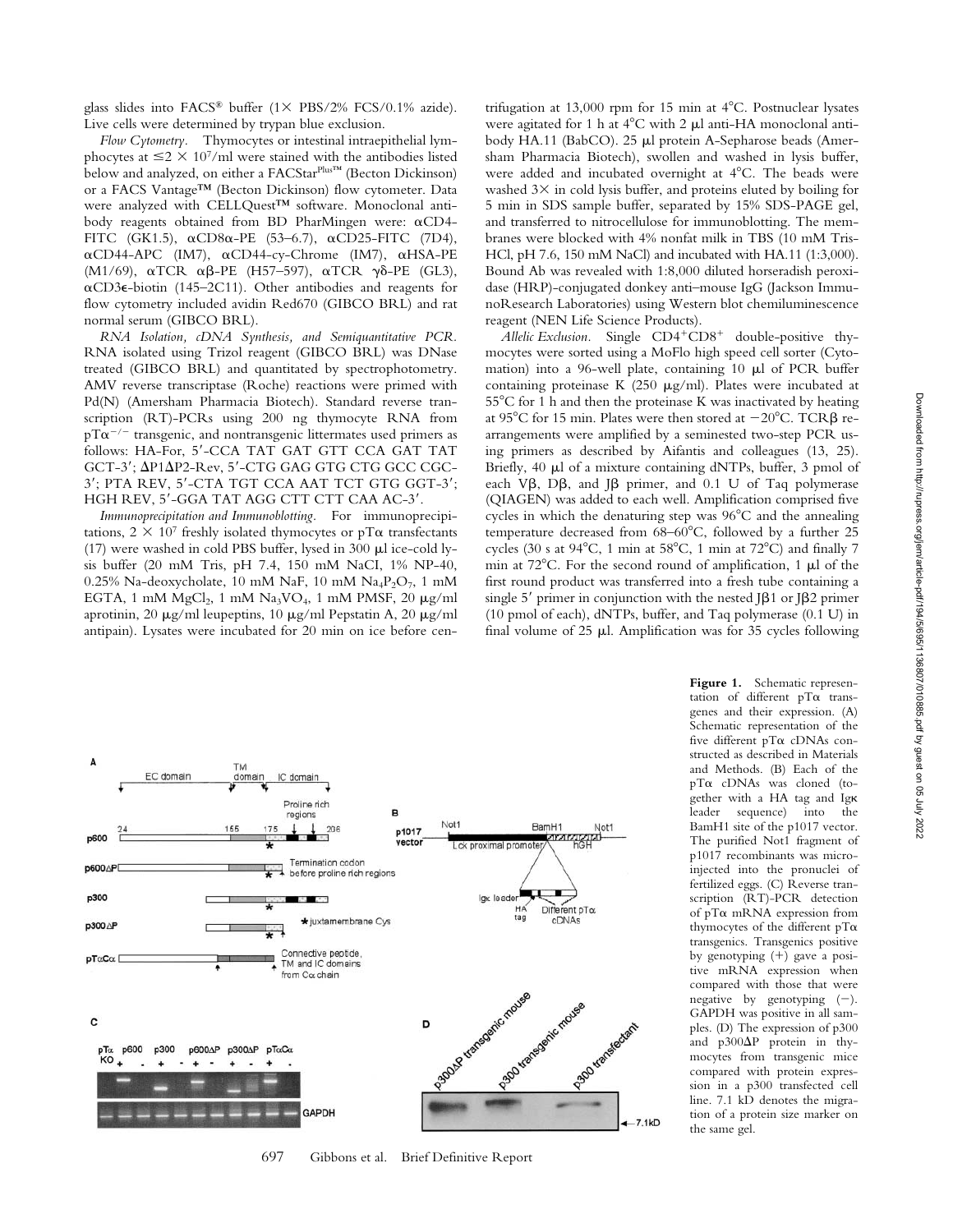*Flow Cytometry.* Thymocytes or intestinal intraepithelial lymphocytes at  $\leq$  2  $\times$  10<sup>7</sup>/ml were stained with the antibodies listed below and analyzed, on either a FACStarPlus™ (Becton Dickinson) or a FACS Vantage™ (Becton Dickinson) flow cytometer. Data were analyzed with CELLQuest™ software. Monoclonal antibody reagents obtained from BD PharMingen were:  $\alpha$ CD4-FITC (GK1.5),  $\alpha$ CD8 $\alpha$ -PE (53–6.7),  $\alpha$ CD25-FITC (7D4), αCD44-APC (IM7), αCD44-cy-Chrome (IM7), αHSA-PE (M1/69), αTCR  $\alpha\beta$ -PE (H57–597), αTCR  $\gamma\delta$ -PE (GL3),  $\alpha$ CD3 $\epsilon$ -biotin (145–2C11). Other antibodies and reagents for flow cytometry included avidin Red670 (GIBCO BRL) and rat normal serum (GIBCO BRL).

*RNA Isolation, cDNA Synthesis, and Semiquantitative PCR.* RNA isolated using Trizol reagent (GIBCO BRL) was DNase treated (GIBCO BRL) and quantitated by spectrophotometry. AMV reverse transcriptase (Roche) reactions were primed with Pd(N) (Amersham Pharmacia Biotech). Standard reverse transcription (RT)-PCRs using 200 ng thymocyte RNA from  $pT\alpha^{-/-}$  transgenic, and nontransgenic littermates used primers as follows: HA-For, 5'-CCA TAT GAT GTT CCA GAT TAT  $GCT-3'$ ;  $\Delta P1\Delta P2-Rev$ ,  $5'$ -CTG GAG GTG CTG GCC CGC-3'; PTA REV, 5'-CTA TGT CCA AAT TCT GTG GGT-3'; HGH REV, 5'-GGA TAT AGG CTT CTT CAA AC-3'.

*Immunoprecipitation and Immunoblotting.* For immunoprecipitations,  $2 \times 10^7$  freshly isolated thymocytes or pT $\alpha$  transfectants (17) were washed in cold PBS buffer, lysed in 300  $\mu$ l ice-cold lysis buffer (20 mM Tris, pH 7.4, 150 mM NaCI, 1% NP-40, 0.25% Na-deoxycholate, 10 mM NaF, 10 mM Na<sub>4</sub>P<sub>2</sub>O<sub>7</sub>, 1 mM EGTA, 1 mM  $MgCl<sub>2</sub>$ , 1 mM  $Na<sub>3</sub>VO<sub>4</sub>$ , 1 mM PMSF, 20  $\mu g/ml$ aprotinin, 20  $\mu$ g/ml leupeptins, 10  $\mu$ g/ml Pepstatin A, 20  $\mu$ g/ml antipain). Lysates were incubated for 20 min on ice before cen-

trifugation at 13,000 rpm for 15 min at 4 C. Postnuclear lysates were agitated for 1 h at  $4^{\circ}$ C with 2  $\mu$ l anti-HA monoclonal antibody HA.11 (BabCO). 25 µl protein A-Sepharose beads (Amersham Pharmacia Biotech), swollen and washed in lysis buffer, were added and incubated overnight at 4 C. The beads were washed  $3\times$  in cold lysis buffer, and proteins eluted by boiling for 5 min in SDS sample buffer, separated by 15% SDS-PAGE gel, and transferred to nitrocellulose for immunoblotting. The membranes were blocked with 4% nonfat milk in TBS (10 mM Tris-HCl, pH 7.6, 150 mM NaCl) and incubated with HA.11 (1:3,000). Bound Ab was revealed with 1:8,000 diluted horseradish peroxidase (HRP)-conjugated donkey anti–mouse IgG (Jackson ImmunoResearch Laboratories) using Western blot chemiluminescence reagent (NEN Life Science Products).

*Allelic Exclusion.* Single CD4<sup>+</sup>CD8<sup>+</sup> double-positive thymocytes were sorted using a MoFlo high speed cell sorter (Cytomation) into a 96-well plate, containing 10  $\mu$ l of PCR buffer containing proteinase K (250  $\mu$ g/ml). Plates were incubated at 55 C for 1 h and then the proteinase K was inactivated by heating at 95°C for 15 min. Plates were then stored at  $-20^{\circ}$ C. TCR $\beta$  rearrangements were amplified by a seminested two-step PCR using primers as described by Aifantis and colleagues (13, 25). Briefly, 40  $\mu$ l of a mixture containing dNTPs, buffer, 3 pmol of each V $\beta$ , D $\beta$ , and J $\beta$  primer, and 0.1 U of Taq polymerase (QIAGEN) was added to each well. Amplification comprised five cycles in which the denaturing step was 96 C and the annealing temperature decreased from 68–60 C, followed by a further 25 cycles (30 s at 94 C, 1 min at 58 C, 1 min at 72 C) and finally 7 min at  $72^{\circ}$ C. For the second round of amplification, 1  $\mu$ l of the first round product was transferred into a fresh tube containing a single 5' primer in conjunction with the nested J $\beta$ 1 or J $\beta$ 2 primer (10 pmol of each), dNTPs, buffer, and Taq polymerase (0.1 U) in final volume of  $25 \mu$ . Amplification was for  $35$  cycles following



697 Gibbons et al. Brief Definitive Report

**Figure 1.** Schematic representation of different  $pT\alpha$  transgenes and their expression. (A) Schematic representation of the five different  $pT\alpha$  cDNAs constructed as described in Materials and Methods. (B) Each of the pT $\alpha$  cDNAs was cloned (together with a HA tag and Ig leader sequence) into the BamH1 site of the p1017 vector. The purified Not1 fragment of p1017 recombinants was microinjected into the pronuclei of fertilized eggs. (C) Reverse transcription (RT)-PCR detection of pT $\alpha$  mRNA expression from thymocytes of the different  $pT\alpha$ transgenics. Transgenics positive by genotyping  $(+)$  gave a positive mRNA expression when compared with those that were negative by genotyping  $(-)$ . GAPDH was positive in all samples. (D) The expression of p300 and  $p300\Delta P$  protein in thymocytes from transgenic mice compared with protein expression in a p300 transfected cell line. 7.1 kD denotes the migration of a protein size marker on the same gel.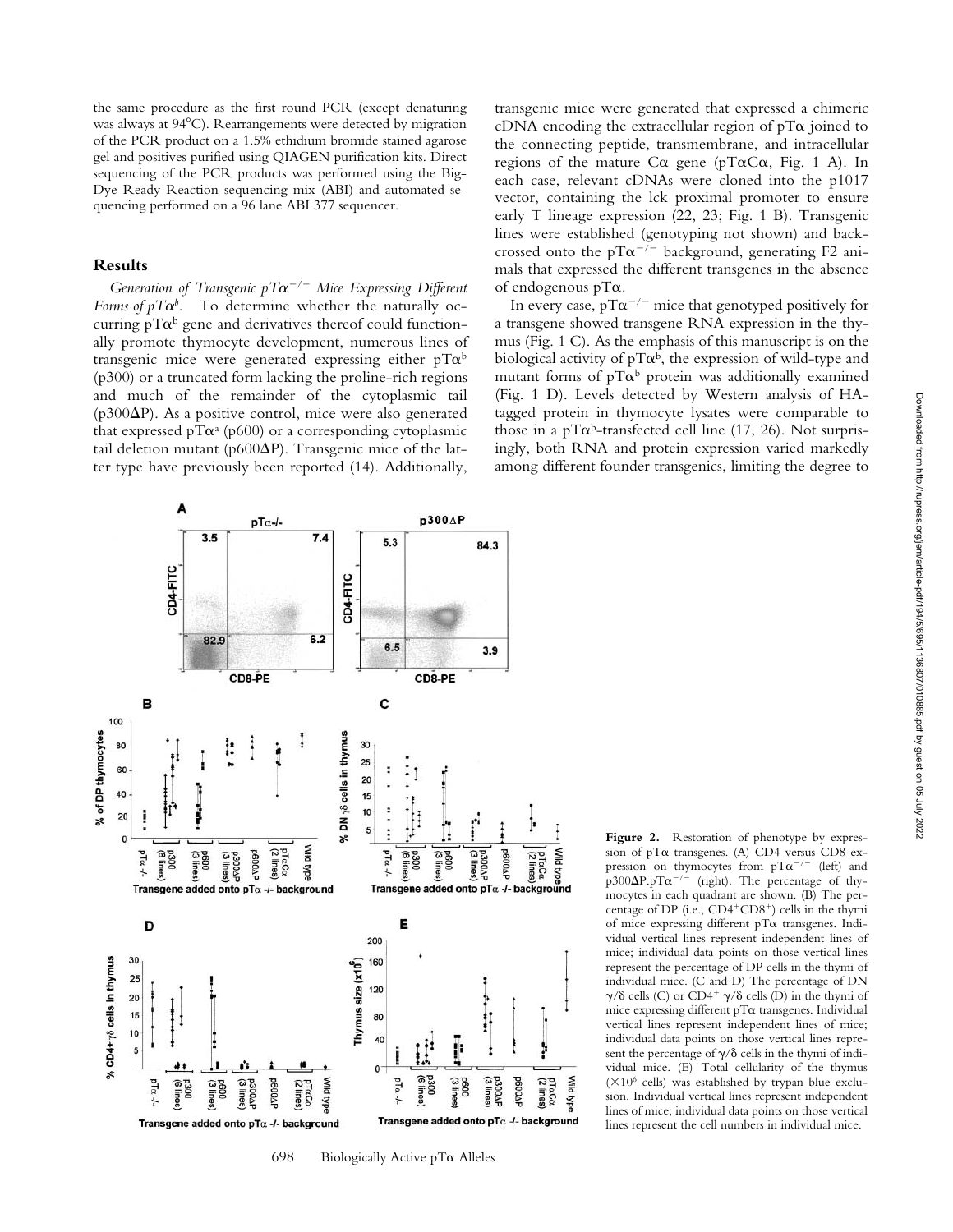the same procedure as the first round PCR (except denaturing was always at 94 C). Rearrangements were detected by migration of the PCR product on a 1.5% ethidium bromide stained agarose gel and positives purified using QIAGEN purification kits. Direct sequencing of the PCR products was performed using the Big-Dye Ready Reaction sequencing mix (ABI) and automated sequencing performed on a 96 lane ABI 377 sequencer.

## **Results**

Generation of Transgenic  $pT\alpha^{-/-}$  Mice Expressing Different *Forms of pT* $\alpha^b$ *.* To determine whether the naturally occurring pT $\alpha^b$  gene and derivatives thereof could functionally promote thymocyte development, numerous lines of transgenic mice were generated expressing either pT $\alpha^{\text{b}}$ (p300) or a truncated form lacking the proline-rich regions and much of the remainder of the cytoplasmic tail ( $p300\Delta P$ ). As a positive control, mice were also generated that expressed pT $\alpha^a$  (p600) or a corresponding cytoplasmic tail deletion mutant (p600 $\Delta$ P). Transgenic mice of the latter type have previously been reported (14). Additionally,

transgenic mice were generated that expressed a chimeric  $cDNA$  encoding the extracellular region of pT $\alpha$  joined to the connecting peptide, transmembrane, and intracellular regions of the mature  $Ca$  gene (pT $\alpha Ca$ , Fig. 1 A). In each case, relevant cDNAs were cloned into the p1017 vector, containing the lck proximal promoter to ensure early T lineage expression (22, 23; Fig. 1 B). Transgenic lines were established (genotyping not shown) and backcrossed onto the pT $\alpha^{-/-}$  background, generating F2 animals that expressed the different transgenes in the absence of endogenous  $pT\alpha$ .

In every case,  $pT\alpha^{-/-}$  mice that genotyped positively for a transgene showed transgene RNA expression in the thymus (Fig. 1 C). As the emphasis of this manuscript is on the biological activity of pT $\alpha^{\rm b}$ , the expression of wild-type and mutant forms of pT $\alpha^{\textrm{b}}$  protein was additionally examined (Fig. 1 D). Levels detected by Western analysis of HAtagged protein in thymocyte lysates were comparable to those in a pT $\alpha^b$ -transfected cell line (17, 26). Not surprisingly, both RNA and protein expression varied markedly among different founder transgenics, limiting the degree to



698 Biologically Active  $pT\alpha$  Alleles

Figure 2. Restoration of phenotype by expression of pT $\alpha$  transgenes. (A) CD4 versus CD8 expression on thymocytes from  $pT\alpha^{-/-}$  (left) and  $p300\Delta P.pT\alpha^{-/-}$ (right). The percentage of thymocytes in each quadrant are shown. (B) The percentage of DP (i.e., CD4<sup>+</sup>CD8<sup>+</sup>) cells in the thymi of mice expressing different  $pT\alpha$  transgenes. Individual vertical lines represent independent lines of mice; individual data points on those vertical lines represent the percentage of DP cells in the thymi of individual mice. (C and D) The percentage of DN  $\gamma/\delta$  cells (C) or CD4<sup>+</sup>  $\gamma/\delta$  cells (D) in the thymi of  $m$ ice expressing different p $T\alpha$  transgenes. Individual vertical lines represent independent lines of mice; individual data points on those vertical lines represent the percentage of  $\gamma/\delta$  cells in the thymi of individual mice. (E) Total cellularity of the thymus  $(\times 10^6 \text{ cells})$  was established by trypan blue exclusion. Individual vertical lines represent independent lines of mice; individual data points on those vertical lines represent the cell numbers in individual mice.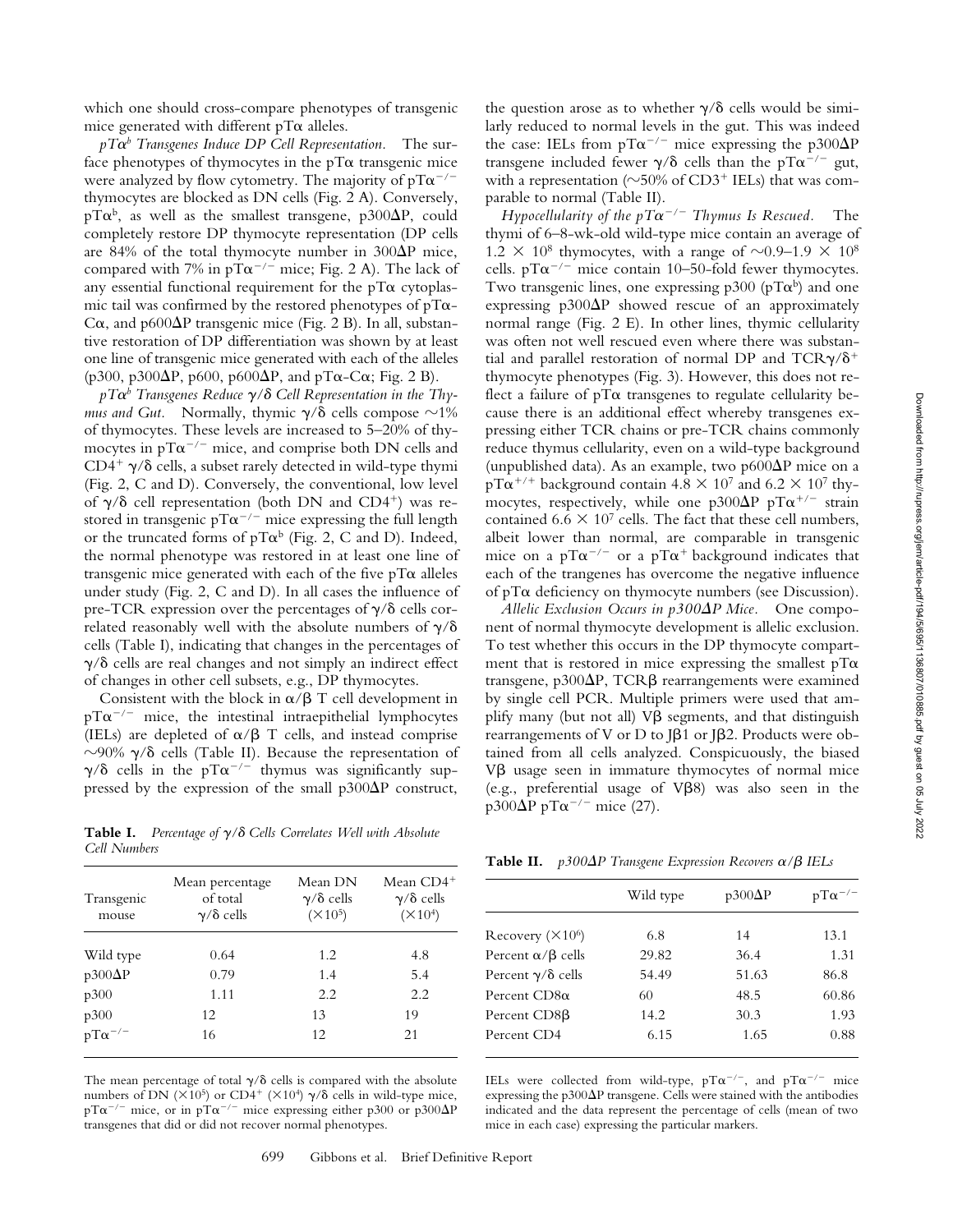which one should cross-compare phenotypes of transgenic mice generated with different  $pT\alpha$  alleles.

 $pT\alpha^b$  *Transgenes Induce DP Cell Representation.* The surface phenotypes of thymocytes in the pT $\alpha$  transgenic mice were analyzed by flow cytometry. The majority of pT $\alpha^{-/-}$ thymocytes are blocked as DN cells (Fig. 2 A). Conversely, pT $\alpha^{\rm b}$ , as well as the smallest transgene, p300 $\Delta$ P, could completely restore DP thymocyte representation (DP cells are 84% of the total thymocyte number in  $300\Delta P$  mice, compared with 7% in  $pT\alpha^{-/-}$  mice; Fig. 2 A). The lack of any essential functional requirement for the  $pT\alpha$  cytoplasmic tail was confirmed by the restored phenotypes of pT $\alpha$ -C $\alpha$ , and p600 $\Delta$ P transgenic mice (Fig. 2 B). In all, substantive restoration of DP differentiation was shown by at least one line of transgenic mice generated with each of the alleles (p300, p300 $\Delta P$ , p600, p600 $\Delta P$ , and pT $\alpha$ -C $\alpha$ ; Fig. 2 B).

*pT*-*b Transgenes Reduce / Cell Representation in the Thy*mus and Gut. Normally, thymic  $\gamma/\delta$  cells compose  $\sim$ 1% of thymocytes. These levels are increased to 5–20% of thymocytes in pT $\alpha^{-/-}$  mice, and comprise both DN cells and  $CD4^+$   $\gamma/\delta$  cells, a subset rarely detected in wild-type thymi (Fig. 2, C and D). Conversely, the conventional, low level of  $\gamma/\delta$  cell representation (both DN and CD4<sup>+</sup>) was restored in transgenic pT $\alpha^{-/-}$  mice expressing the full length or the truncated forms of  $pT\alpha^{b}$  (Fig. 2, C and D). Indeed, the normal phenotype was restored in at least one line of transgenic mice generated with each of the five  $pT\alpha$  alleles under study (Fig. 2, C and D). In all cases the influence of pre-TCR expression over the percentages of  $\gamma/\delta$  cells correlated reasonably well with the absolute numbers of  $\gamma/\delta$ cells (Table I), indicating that changes in the percentages of  $\gamma/\delta$  cells are real changes and not simply an indirect effect of changes in other cell subsets, e.g., DP thymocytes.

Consistent with the block in  $\alpha/\beta$  T cell development in  $pT\alpha^{-/-}$  mice, the intestinal intraepithelial lymphocytes (IELs) are depleted of  $\alpha/\beta$  T cells, and instead comprise  $\sim$ 90%  $\gamma$ / $\delta$  cells (Table II). Because the representation of  $\gamma/\delta$  cells in the pT $\alpha^{-/-}$  thymus was significantly suppressed by the expression of the small  $p300\Delta P$  construct,

**Table I.** *Percentage of / Cells Correlates Well with Absolute Cell Numbers*

| Transgenic<br>mouse        | Mean percentage<br>of total<br>$\gamma/\delta$ cells | Mean DN<br>$\gamma/\delta$ cells<br>$(X10^5)$ | Mean CD4 <sup>+</sup><br>$\gamma/\delta$ cells<br>$(\times 10^4)$ |
|----------------------------|------------------------------------------------------|-----------------------------------------------|-------------------------------------------------------------------|
| Wild type                  | 0.64                                                 | 1.2                                           | 4.8                                                               |
| $p300\Delta P$             | 0.79                                                 | 1.4                                           | 5.4                                                               |
| p300                       | 1.11                                                 | 2.2                                           | 2.2                                                               |
|                            | 12                                                   | 13                                            | 19                                                                |
| $p300$<br>$pT\alpha^{-/-}$ | 16                                                   | 12.                                           | 21                                                                |

The mean percentage of total  $\gamma/\delta$  cells is compared with the absolute numbers of DN ( $\times 10^5$ ) or CD4<sup>+</sup> ( $\times 10^4$ )  $\gamma/\delta$  cells in wild-type mice, pT $\alpha^{-/-}$  mice, or in pT $\alpha^{-/-}$  mice expressing either p300 or p300 $\Delta P$ transgenes that did or did not recover normal phenotypes.

the question arose as to whether  $\gamma/\delta$  cells would be similarly reduced to normal levels in the gut. This was indeed the case: IELs from pT $\alpha^{-/-}$  mice expressing the p300 $\Delta$ P transgene included fewer  $\gamma/\delta$  cells than the pT $\alpha^{-/-}$  gut, with a representation ( $\sim$ 50% of CD3<sup>+</sup> IELs) that was comparable to normal (Table II).

*Hypocellularity of the*  $pT\alpha^{-/-}$  *Thymus Is Rescued.* The thymi of 6–8-wk-old wild-type mice contain an average of  $1.2 \times 10^8$  thymocytes, with a range of  $\sim 0.9-1.9 \times 10^8$ cells.  $pT\alpha^{-/-}$  mice contain 10–50-fold fewer thymocytes. Two transgenic lines, one expressing p300 (pT $\alpha^b$ ) and one expressing  $p300\Delta P$  showed rescue of an approximately normal range (Fig. 2 E). In other lines, thymic cellularity was often not well rescued even where there was substantial and parallel restoration of normal DP and TCR $\gamma/\delta^+$ thymocyte phenotypes (Fig. 3). However, this does not reflect a failure of  $pT\alpha$  transgenes to regulate cellularity because there is an additional effect whereby transgenes expressing either TCR chains or pre-TCR chains commonly reduce thymus cellularity, even on a wild-type background (unpublished data). As an example, two  $p600\Delta P$  mice on a  $pT\alpha^{+/+}$  background contain 4.8  $\times$  10<sup>7</sup> and 6.2  $\times$  10<sup>7</sup> thymocytes, respectively, while one p300 $\Delta$ P pT $\alpha^{+/-}$  strain contained 6.6  $\times$  10<sup>7</sup> cells. The fact that these cell numbers, albeit lower than normal, are comparable in transgenic mice on a pT $\alpha^{-/-}$  or a pT $\alpha^{+}$  background indicates that each of the trangenes has overcome the negative influence of pT $\alpha$  deficiency on thymocyte numbers (see Discussion).

*Allelic Exclusion Occurs in p300P Mice.* One component of normal thymocyte development is allelic exclusion. To test whether this occurs in the DP thymocyte compartment that is restored in mice expressing the smallest  $pT\alpha$ transgene,  $p300\Delta P$ , TCR $\beta$  rearrangements were examined by single cell PCR. Multiple primers were used that amplify many (but not all)  $V\beta$  segments, and that distinguish rearrangements of V or D to J $\beta$ 1 or J $\beta$ 2. Products were obtained from all cells analyzed. Conspicuously, the biased Vß usage seen in immature thymocytes of normal mice (e.g., preferential usage of  $V\beta8$ ) was also seen in the  $p300\Delta P$  pT $\alpha$ <sup>-/-</sup> mice (27).

**Table II.**  $p300\Delta P$  Transgene Expression Recovers  $\alpha/\beta$  IELs

|                               | Wild type | $p300\Delta P$ | $pT\alpha^{-/-}$ |
|-------------------------------|-----------|----------------|------------------|
| Recovery $(\times 10^6)$      | 6.8       | 14             | 13.1             |
| Percent $\alpha/\beta$ cells  | 29.82     | 36.4           | 1.31             |
| Percent $\gamma/\delta$ cells | 54.49     | 51.63          | 86.8             |
| Percent $CD8\alpha$           | 60        | 48.5           | 60.86            |
| Percent CD8 <sub>B</sub>      | 14.2      | 30.3           | 1.93             |
| Percent CD4                   | 6.15      | 1.65           | 0.88             |

IELs were collected from wild-type,  $pT\alpha^{-/-}$ , and  $pT\alpha^{-/-}$  mice expressing the p300 $\Delta$ P transgene. Cells were stained with the antibodies indicated and the data represent the percentage of cells (mean of two mice in each case) expressing the particular markers.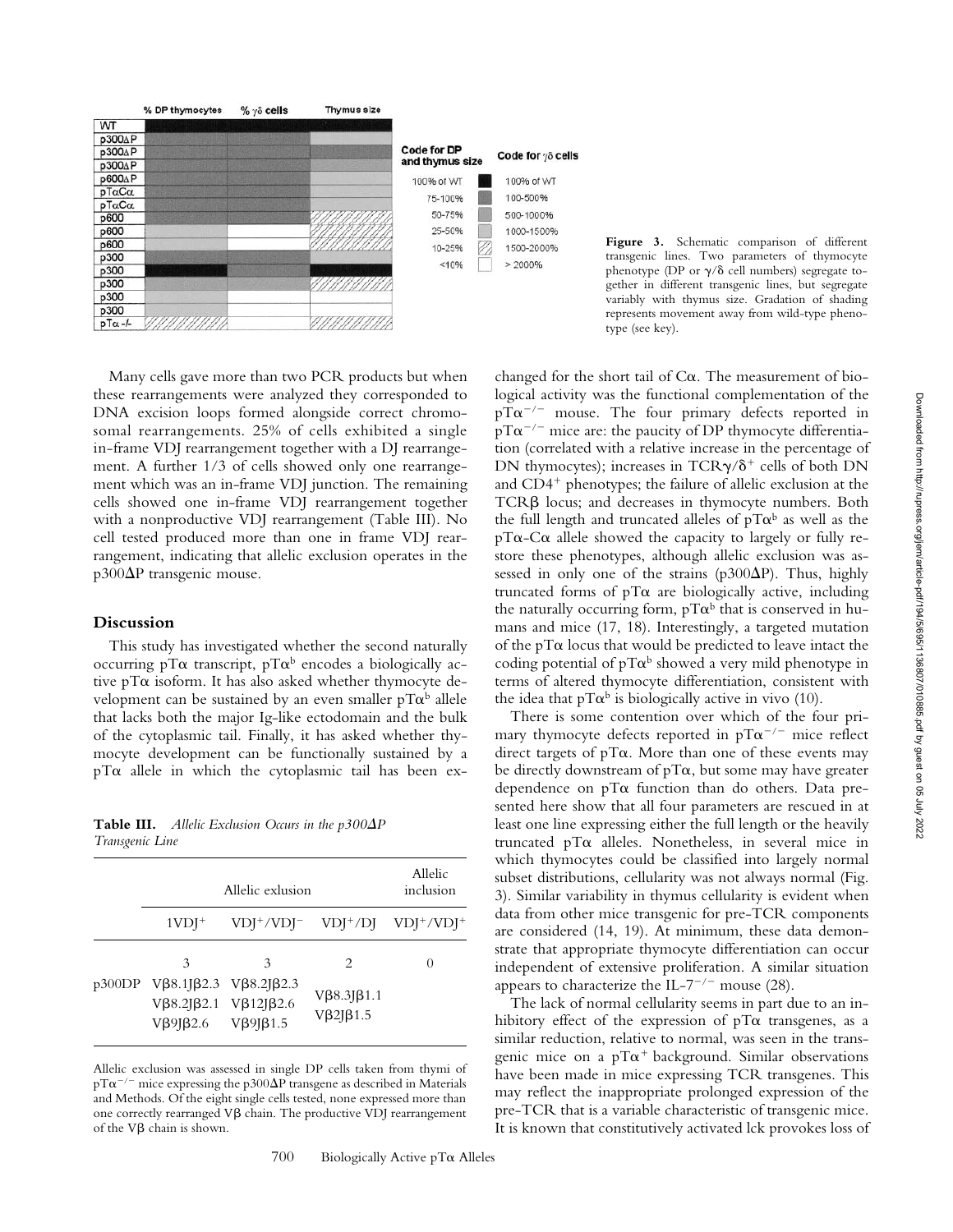

**Figure 3.** Schematic comparison of different transgenic lines. Two parameters of thymocyte phenotype (DP or  $\gamma/\delta$  cell numbers) segregate together in different transgenic lines, but segregate variably with thymus size. Gradation of shading represents movement away from wild-type phenotype (see key).

Many cells gave more than two PCR products but when these rearrangements were analyzed they corresponded to DNA excision loops formed alongside correct chromosomal rearrangements. 25% of cells exhibited a single in-frame VDJ rearrangement together with a DJ rearrangement. A further 1/3 of cells showed only one rearrangement which was an in-frame VDJ junction. The remaining cells showed one in-frame VDJ rearrangement together with a nonproductive VDJ rearrangement (Table III). No cell tested produced more than one in frame VDJ rearrangement, indicating that allelic exclusion operates in the  $p300\Delta P$  transgenic mouse.

# **Discussion**

This study has investigated whether the second naturally occurring pT $\alpha$  transcript, pT $\alpha^{\text{\tiny b}}$  encodes a biologically active pT $\alpha$  isoform. It has also asked whether thymocyte development can be sustained by an even smaller pT $\alpha^{\text{b}}$  allele that lacks both the major Ig-like ectodomain and the bulk of the cytoplasmic tail. Finally, it has asked whether thymocyte development can be functionally sustained by a  $pT\alpha$  allele in which the cytoplasmic tail has been ex-

**Table III.** *Allelic Exclusion Occurs in the p300* $\Delta P$ *Transgenic Line*

| Allelic exlusion                                                                                   | Allelic<br>inclusion |                                                             |          |
|----------------------------------------------------------------------------------------------------|----------------------|-------------------------------------------------------------|----------|
| $1VDJ^+$                                                                                           |                      | $VDJ^+ / VDJ^ VDJ^+ / DJ$ $VDJ^+ / VDJ^+$                   |          |
| 3<br>p300DP Vβ8.1Jβ2.3 Vβ8.2Jβ2.3<br>$V\beta8.2J\beta2.1$ $V\beta12J\beta2.6$<br>Vβ9Jβ2.6 Vβ9Jβ1.5 | $\mathcal{Z}$        | $\mathcal{L}$<br>$V\beta8.3J\beta1.1$<br>$V\beta2J\beta1.5$ | $\theta$ |

Allelic exclusion was assessed in single DP cells taken from thymi of pT $\alpha^{-/-}$  mice expressing the p300 $\Delta$ P transgene as described in Materials and Methods. Of the eight single cells tested, none expressed more than one correctly rearranged  $V\beta$  chain. The productive  $V\overline{D}$  rearrangement of the  $V\beta$  chain is shown.

changed for the short tail of  $C\alpha$ . The measurement of biological activity was the functional complementation of the  $pT\alpha^{-/-}$  mouse. The four primary defects reported in  $pT\alpha^{-/-}$  mice are: the paucity of DP thymocyte differentiation (correlated with a relative increase in the percentage of DN thymocytes); increases in TCR $\gamma/\delta^+$  cells of both DN and  $CD4^+$  phenotypes; the failure of allelic exclusion at the  $TCR\beta$  locus; and decreases in thymocyte numbers. Both the full length and truncated alleles of pT $\alpha^{\textrm{b}}$  as well as the  $pT\alpha$ -C $\alpha$  allele showed the capacity to largely or fully restore these phenotypes, although allelic exclusion was assessed in only one of the strains ( $p300\Delta P$ ). Thus, highly truncated forms of  $pT\alpha$  are biologically active, including the naturally occurring form,  $pT\alpha^b$  that is conserved in humans and mice (17, 18). Interestingly, a targeted mutation of the  $pT\alpha$  locus that would be predicted to leave intact the coding potential of pT $\alpha^{\rm b}$  showed a very mild phenotype in terms of altered thymocyte differentiation, consistent with the idea that pT $\alpha^b$  is biologically active in vivo (10).

There is some contention over which of the four primary thymocyte defects reported in pT $\alpha^{-/-}$  mice reflect direct targets of  $pT\alpha$ . More than one of these events may be directly downstream of pT $\alpha$ , but some may have greater dependence on  $pT\alpha$  function than do others. Data presented here show that all four parameters are rescued in at least one line expressing either the full length or the heavily truncated pT $\alpha$  alleles. Nonetheless, in several mice in which thymocytes could be classified into largely normal subset distributions, cellularity was not always normal (Fig. 3). Similar variability in thymus cellularity is evident when data from other mice transgenic for pre-TCR components are considered (14, 19). At minimum, these data demonstrate that appropriate thymocyte differentiation can occur independent of extensive proliferation. A similar situation appears to characterize the IL-7<sup>-/-</sup> mouse (28).

The lack of normal cellularity seems in part due to an inhibitory effect of the expression of  $pT\alpha$  transgenes, as a similar reduction, relative to normal, was seen in the transgenic mice on a p $T\alpha^+$  background. Similar observations have been made in mice expressing TCR transgenes. This may reflect the inappropriate prolonged expression of the pre-TCR that is a variable characteristic of transgenic mice. It is known that constitutively activated lck provokes loss of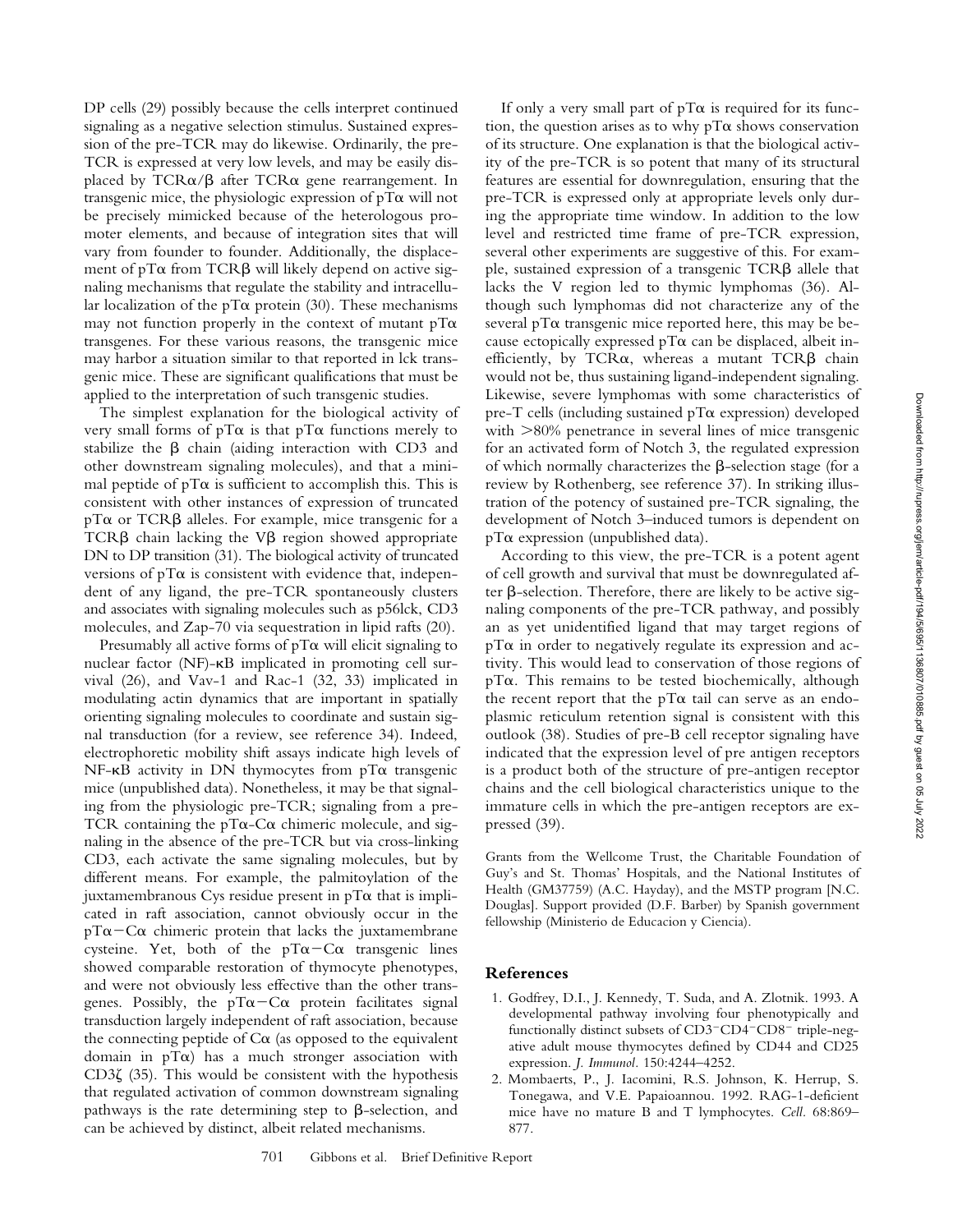DP cells (29) possibly because the cells interpret continued signaling as a negative selection stimulus. Sustained expression of the pre-TCR may do likewise. Ordinarily, the pre-TCR is expressed at very low levels, and may be easily displaced by  $TCR\alpha/\beta$  after  $TCR\alpha$  gene rearrangement. In transgenic mice, the physiologic expression of  $pT\alpha$  will not be precisely mimicked because of the heterologous promoter elements, and because of integration sites that will vary from founder to founder. Additionally, the displacement of pT $\alpha$  from TCR $\beta$  will likely depend on active signaling mechanisms that regulate the stability and intracellular localization of the pT $\alpha$  protein (30). These mechanisms may not function properly in the context of mutant  $pT\alpha$ transgenes. For these various reasons, the transgenic mice may harbor a situation similar to that reported in lck transgenic mice. These are significant qualifications that must be applied to the interpretation of such transgenic studies.

The simplest explanation for the biological activity of very small forms of  $pT\alpha$  is that  $pT\alpha$  functions merely to stabilize the  $\beta$  chain (aiding interaction with CD3 and other downstream signaling molecules), and that a minimal peptide of pT $\alpha$  is sufficient to accomplish this. This is consistent with other instances of expression of truncated  $pT\alpha$  or  $TCR\beta$  alleles. For example, mice transgenic for a TCR $\beta$  chain lacking the V $\beta$  region showed appropriate DN to DP transition (31). The biological activity of truncated versions of  $pT\alpha$  is consistent with evidence that, independent of any ligand, the pre-TCR spontaneously clusters and associates with signaling molecules such as p56lck, CD3 molecules, and Zap-70 via sequestration in lipid rafts (20).

Presumably all active forms of  $pT\alpha$  will elicit signaling to nuclear factor (NF)- $\kappa$ B implicated in promoting cell survival (26), and Vav-1 and Rac-1 (32, 33) implicated in modulating actin dynamics that are important in spatially orienting signaling molecules to coordinate and sustain signal transduction (for a review, see reference 34). Indeed, electrophoretic mobility shift assays indicate high levels of  $NF-\kappa B$  activity in DN thymocytes from pT $\alpha$  transgenic mice (unpublished data). Nonetheless, it may be that signaling from the physiologic pre-TCR; signaling from a pre-TCR containing the pT $\alpha$ -C $\alpha$  chimeric molecule, and signaling in the absence of the pre-TCR but via cross-linking CD3, each activate the same signaling molecules, but by different means. For example, the palmitoylation of the juxtamembranous Cys residue present in  $pT\alpha$  that is implicated in raft association, cannot obviously occur in the  $pT\alpha$  - C $\alpha$  chimeric protein that lacks the juxtamembrane cysteine. Yet, both of the  $pT\alpha-C\alpha$  transgenic lines showed comparable restoration of thymocyte phenotypes, and were not obviously less effective than the other transgenes. Possibly, the  $pT\alpha-C\alpha$  protein facilitates signal transduction largely independent of raft association, because the connecting peptide of  $C\alpha$  (as opposed to the equivalent domain in  $pT\alpha$ ) has a much stronger association with CD3 $\zeta$  (35). This would be consistent with the hypothesis that regulated activation of common downstream signaling pathways is the rate determining step to  $\beta$ -selection, and can be achieved by distinct, albeit related mechanisms.

If only a very small part of  $pT\alpha$  is required for its function, the question arises as to why  $pT\alpha$  shows conservation of its structure. One explanation is that the biological activity of the pre-TCR is so potent that many of its structural features are essential for downregulation, ensuring that the pre-TCR is expressed only at appropriate levels only during the appropriate time window. In addition to the low level and restricted time frame of pre-TCR expression, several other experiments are suggestive of this. For example, sustained expression of a transgenic  $TCR\beta$  allele that lacks the V region led to thymic lymphomas (36). Although such lymphomas did not characterize any of the several p $T\alpha$  transgenic mice reported here, this may be because ectopically expressed p $T\alpha$  can be displaced, albeit inefficiently, by  $TCR\alpha$ , whereas a mutant  $TCR\beta$  chain would not be, thus sustaining ligand-independent signaling. Likewise, severe lymphomas with some characteristics of pre-T cells (including sustained  $pT\alpha$  expression) developed with  $>80\%$  penetrance in several lines of mice transgenic for an activated form of Notch 3, the regulated expression of which normally characterizes the  $\beta$ -selection stage (for a review by Rothenberg, see reference 37). In striking illustration of the potency of sustained pre-TCR signaling, the development of Notch 3–induced tumors is dependent on  $pT\alpha$  expression (unpublished data).

According to this view, the pre-TCR is a potent agent of cell growth and survival that must be downregulated after  $\beta$ -selection. Therefore, there are likely to be active signaling components of the pre-TCR pathway, and possibly an as yet unidentified ligand that may target regions of  $pT\alpha$  in order to negatively regulate its expression and activity. This would lead to conservation of those regions of  $pT\alpha$ . This remains to be tested biochemically, although the recent report that the pT $\alpha$  tail can serve as an endoplasmic reticulum retention signal is consistent with this outlook (38). Studies of pre-B cell receptor signaling have indicated that the expression level of pre antigen receptors is a product both of the structure of pre-antigen receptor chains and the cell biological characteristics unique to the immature cells in which the pre-antigen receptors are expressed (39).

Grants from the Wellcome Trust, the Charitable Foundation of Guy's and St. Thomas' Hospitals, and the National Institutes of Health (GM37759) (A.C. Hayday), and the MSTP program [N.C. Douglas]. Support provided (D.F. Barber) by Spanish government fellowship (Ministerio de Educacion y Ciencia).

# **References**

- 1. Godfrey, D.I., J. Kennedy, T. Suda, and A. Zlotnik. 1993. A developmental pathway involving four phenotypically and functionally distinct subsets of  $CD3$ <sup>- $CD4$ </sup> $CD8$ <sup>-</sup> triple-negative adult mouse thymocytes defined by CD44 and CD25 expression. *J. Immunol.* 150:4244–4252.
- 2. Mombaerts, P., J. Iacomini, R.S. Johnson, K. Herrup, S. Tonegawa, and V.E. Papaioannou. 1992. RAG-1-deficient mice have no mature B and T lymphocytes. *Cell.* 68:869– 877.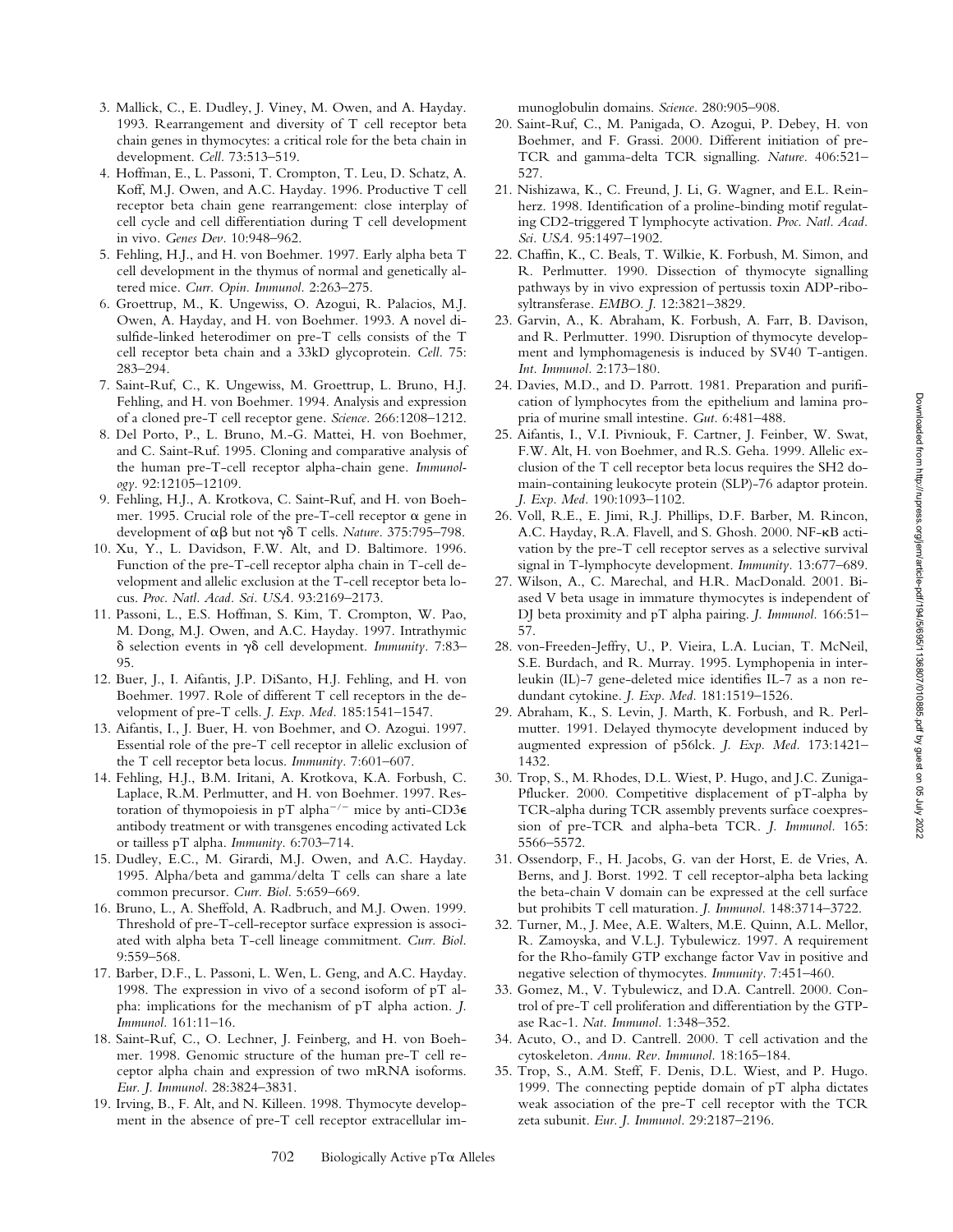Downloaded from http://rupress.org/jem/article-pdf/194/5/695/1136807/010885.pdf by guest on 05 July 2022 Downloaded from http://rupress.org/jem/article-pdf/194/5/695/1136807/010885.pdf by guest on 05 July 2022

- 3. Mallick, C., E. Dudley, J. Viney, M. Owen, and A. Hayday. 1993. Rearrangement and diversity of T cell receptor beta chain genes in thymocytes: a critical role for the beta chain in development. *Cell.* 73:513–519.
- 4. Hoffman, E., L. Passoni, T. Crompton, T. Leu, D. Schatz, A. Koff, M.J. Owen, and A.C. Hayday. 1996. Productive T cell receptor beta chain gene rearrangement: close interplay of cell cycle and cell differentiation during T cell development in vivo. *Genes Dev.* 10:948–962.
- 5. Fehling, H.J., and H. von Boehmer. 1997. Early alpha beta T cell development in the thymus of normal and genetically altered mice. *Curr. Opin. Immunol.* 2:263–275.
- 6. Groettrup, M., K. Ungewiss, O. Azogui, R. Palacios, M.J. Owen, A. Hayday, and H. von Boehmer. 1993. A novel disulfide-linked heterodimer on pre-T cells consists of the T cell receptor beta chain and a 33kD glycoprotein. *Cell.* 75: 283–294.
- 7. Saint-Ruf, C., K. Ungewiss, M. Groettrup, L. Bruno, H.J. Fehling, and H. von Boehmer. 1994. Analysis and expression of a cloned pre-T cell receptor gene. *Science.* 266:1208–1212.
- 8. Del Porto, P., L. Bruno, M.-G. Mattei, H. von Boehmer, and C. Saint-Ruf. 1995. Cloning and comparative analysis of the human pre-T-cell receptor alpha-chain gene. *Immunology.* 92:12105–12109.
- 9. Fehling, H.J., A. Krotkova, C. Saint-Ruf, and H. von Boehmer. 1995. Crucial role of the pre-T-cell receptor  $\alpha$  gene in development of αβ but not γδ T cells. *Nature*. 375:795-798.
- 10. Xu, Y., L. Davidson, F.W. Alt, and D. Baltimore. 1996. Function of the pre-T-cell receptor alpha chain in T-cell development and allelic exclusion at the T-cell receptor beta locus. *Proc. Natl. Acad. Sci. USA.* 93:2169–2173.
- 11. Passoni, L., E.S. Hoffman, S. Kim, T. Crompton, W. Pao, M. Dong, M.J. Owen, and A.C. Hayday. 1997. Intrathymic  $\delta$  selection events in  $\gamma\delta$  cell development. *Immunity*. 7:83– 95.
- 12. Buer, J., I. Aifantis, J.P. DiSanto, H.J. Fehling, and H. von Boehmer. 1997. Role of different T cell receptors in the development of pre-T cells. *J. Exp. Med.* 185:1541–1547.
- 13. Aifantis, I., J. Buer, H. von Boehmer, and O. Azogui. 1997. Essential role of the pre-T cell receptor in allelic exclusion of the T cell receptor beta locus. *Immunity.* 7:601–607.
- 14. Fehling, H.J., B.M. Iritani, A. Krotkova, K.A. Forbush, C. Laplace, R.M. Perlmutter, and H. von Boehmer. 1997. Restoration of thymopoiesis in pT alpha<sup>-/-</sup> mice by anti-CD3 $\epsilon$ antibody treatment or with transgenes encoding activated Lck or tailless pT alpha. *Immunity.* 6:703–714.
- 15. Dudley, E.C., M. Girardi, M.J. Owen, and A.C. Hayday. 1995. Alpha/beta and gamma/delta T cells can share a late common precursor. *Curr. Biol.* 5:659–669.
- 16. Bruno, L., A. Sheffold, A. Radbruch, and M.J. Owen. 1999. Threshold of pre-T-cell-receptor surface expression is associated with alpha beta T-cell lineage commitment. *Curr. Biol.* 9:559–568.
- 17. Barber, D.F., L. Passoni, L. Wen, L. Geng, and A.C. Hayday. 1998. The expression in vivo of a second isoform of pT alpha: implications for the mechanism of pT alpha action. *J. Immunol.* 161:11–16.
- 18. Saint-Ruf, C., O. Lechner, J. Feinberg, and H. von Boehmer. 1998. Genomic structure of the human pre-T cell receptor alpha chain and expression of two mRNA isoforms. *Eur. J. Immunol.* 28:3824–3831.
- 19. Irving, B., F. Alt, and N. Killeen. 1998. Thymocyte development in the absence of pre-T cell receptor extracellular im-

munoglobulin domains. *Science.* 280:905–908.

- 20. Saint-Ruf, C., M. Panigada, O. Azogui, P. Debey, H. von Boehmer, and F. Grassi. 2000. Different initiation of pre-TCR and gamma-delta TCR signalling. *Nature.* 406:521– 527.
- 21. Nishizawa, K., C. Freund, J. Li, G. Wagner, and E.L. Reinherz. 1998. Identification of a proline-binding motif regulating CD2-triggered T lymphocyte activation. *Proc. Natl. Acad. Sci. USA.* 95:1497–1902.
- 22. Chaffin, K., C. Beals, T. Wilkie, K. Forbush, M. Simon, and R. Perlmutter. 1990. Dissection of thymocyte signalling pathways by in vivo expression of pertussis toxin ADP-ribosyltransferase. *EMBO. J.* 12:3821–3829.
- 23. Garvin, A., K. Abraham, K. Forbush, A. Farr, B. Davison, and R. Perlmutter. 1990. Disruption of thymocyte development and lymphomagenesis is induced by SV40 T-antigen. *Int. Immunol.* 2:173–180.
- 24. Davies, M.D., and D. Parrott. 1981. Preparation and purification of lymphocytes from the epithelium and lamina propria of murine small intestine. *Gut.* 6:481–488.
- 25. Aifantis, I., V.I. Pivniouk, F. Cartner, J. Feinber, W. Swat, F.W. Alt, H. von Boehmer, and R.S. Geha. 1999. Allelic exclusion of the T cell receptor beta locus requires the SH2 domain-containing leukocyte protein (SLP)-76 adaptor protein. *J. Exp. Med.* 190:1093–1102.
- 26. Voll, R.E., E. Jimi, R.J. Phillips, D.F. Barber, M. Rincon, A.C. Hayday, R.A. Flavell, and S. Ghosh. 2000. NF-KB activation by the pre-T cell receptor serves as a selective survival signal in T-lymphocyte development. *Immunity.* 13:677–689.
- 27. Wilson, A., C. Marechal, and H.R. MacDonald. 2001. Biased V beta usage in immature thymocytes is independent of DJ beta proximity and pT alpha pairing. *J. Immunol.* 166:51– 57.
- 28. von-Freeden-Jeffry, U., P. Vieira, L.A. Lucian, T. McNeil, S.E. Burdach, and R. Murray. 1995. Lymphopenia in interleukin (IL)-7 gene-deleted mice identifies IL-7 as a non redundant cytokine. *J. Exp. Med.* 181:1519–1526.
- 29. Abraham, K., S. Levin, J. Marth, K. Forbush, and R. Perlmutter. 1991. Delayed thymocyte development induced by augmented expression of p56lck. *J. Exp. Med.* 173:1421– 1432.
- 30. Trop, S., M. Rhodes, D.L. Wiest, P. Hugo, and J.C. Zuniga-Pflucker. 2000. Competitive displacement of pT-alpha by TCR-alpha during TCR assembly prevents surface coexpression of pre-TCR and alpha-beta TCR. *J. Immunol.* 165: 5566–5572.
- 31. Ossendorp, F., H. Jacobs, G. van der Horst, E. de Vries, A. Berns, and J. Borst. 1992. T cell receptor-alpha beta lacking the beta-chain V domain can be expressed at the cell surface but prohibits T cell maturation. *J. Immunol.* 148:3714–3722.
- 32. Turner, M., J. Mee, A.E. Walters, M.E. Quinn, A.L. Mellor, R. Zamoyska, and V.L.J. Tybulewicz. 1997. A requirement for the Rho-family GTP exchange factor Vav in positive and negative selection of thymocytes. *Immunity.* 7:451–460.
- 33. Gomez, M., V. Tybulewicz, and D.A. Cantrell. 2000. Control of pre-T cell proliferation and differentiation by the GTPase Rac-1. *Nat. Immunol.* 1:348–352.
- 34. Acuto, O., and D. Cantrell. 2000. T cell activation and the cytoskeleton. *Annu. Rev. Immunol.* 18:165–184.
- 35. Trop, S., A.M. Steff, F. Denis, D.L. Wiest, and P. Hugo. 1999. The connecting peptide domain of pT alpha dictates weak association of the pre-T cell receptor with the TCR zeta subunit. *Eur. J. Immunol.* 29:2187–2196.